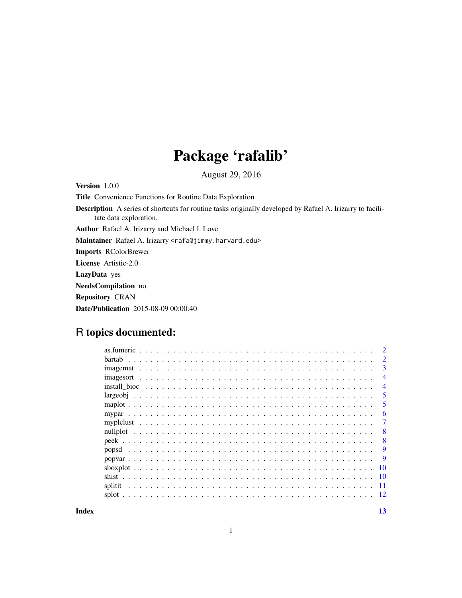# Package 'rafalib'

August 29, 2016

<span id="page-0-0"></span>Version 1.0.0

Title Convenience Functions for Routine Data Exploration

Description A series of shortcuts for routine tasks originally developed by Rafael A. Irizarry to facilitate data exploration.

Author Rafael A. Irizarry and Michael I. Love

Maintainer Rafael A. Irizarry <rafa@jimmy.harvard.edu>

Imports RColorBrewer

License Artistic-2.0

LazyData yes

NeedsCompilation no

Repository CRAN

Date/Publication 2015-08-09 00:00:40

# R topics documented:

|           | $\mathfrak{D}$ |
|-----------|----------------|
|           | $\overline{2}$ |
| imagemat  | 3              |
| imagesort | 4              |
|           | 4              |
|           | 5              |
|           | 5              |
|           | 6              |
|           | 7              |
|           | 8              |
|           | 8              |
|           | 9              |
|           | 9              |
|           | -10            |
|           | - 10           |
| splitit   | -11            |
|           | 12             |
|           |                |

**Index** [13](#page-12-0)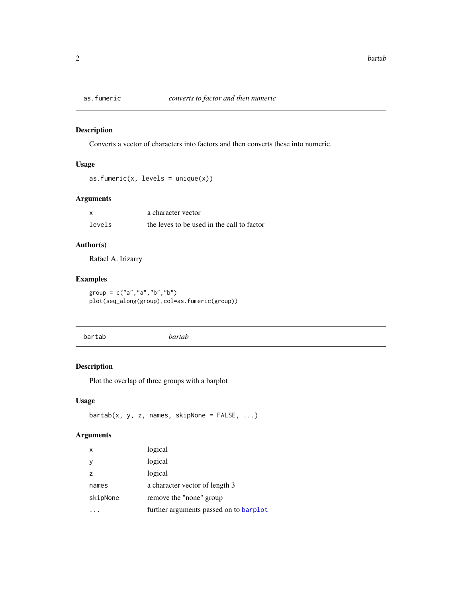<span id="page-1-0"></span>

Converts a vector of characters into factors and then converts these into numeric.

# Usage

as.fumeric(x, levels =  $unique(x)$ )

# Arguments

|        | a character vector                         |
|--------|--------------------------------------------|
| levels | the leves to be used in the call to factor |

#### Author(s)

Rafael A. Irizarry

# Examples

group = c("a","a","b","b") plot(seq\_along(group),col=as.fumeric(group))

|--|--|

# Description

Plot the overlap of three groups with a barplot

# Usage

 $bartab(x, y, z, names, skipNone = FALSE, ...)$ 

| X        | logical                                |
|----------|----------------------------------------|
| У        | logical                                |
| z        | logical                                |
| names    | a character vector of length 3         |
| skipNone | remove the "none" group                |
|          | further arguments passed on to barplot |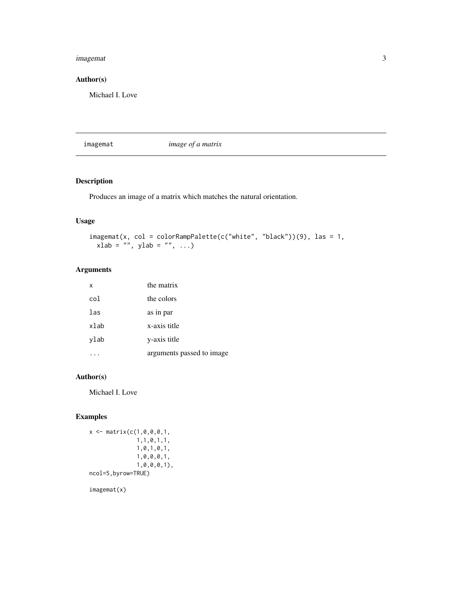#### <span id="page-2-0"></span>imagemat 3

# Author(s)

Michael I. Love

imagemat *image of a matrix*

# Description

Produces an image of a matrix which matches the natural orientation.

# Usage

```
imagenta(x, col = colorRamPalette(c("white", "black"))(9), las = 1,xlab = "", ylab = "", ...)
```
# Arguments

| $\mathsf{x}$ | the matrix                |
|--------------|---------------------------|
| col          | the colors                |
| las          | as in par                 |
| xlab         | x-axis title              |
| ylab         | y-axis title              |
|              | arguments passed to image |

#### Author(s)

Michael I. Love

# Examples

```
x <- matrix(c(1,0,0,0,1,
             1,1,0,1,1,
              1,0,1,0,1,
              1,0,0,0,1,
              1,0,0,0,1),
ncol=5,byrow=TRUE)
```
imagemat(x)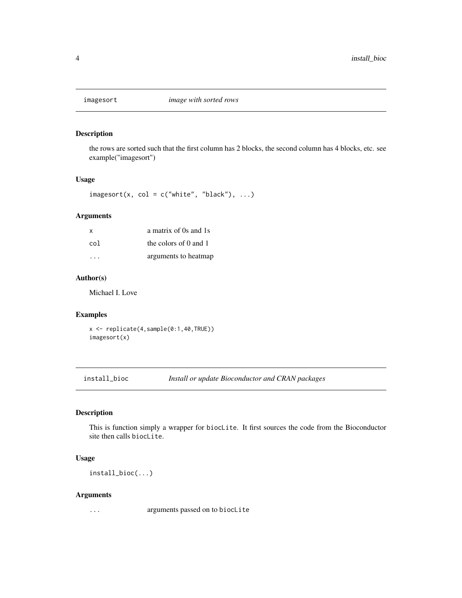<span id="page-3-0"></span>

the rows are sorted such that the first column has 2 blocks, the second column has 4 blocks, etc. see example("imagesort")

#### Usage

 $imagesort(x, col = c("white", "black"), ...)$ 

#### Arguments

| x   | a matrix of 0s and 1s               |
|-----|-------------------------------------|
| col | the colors of $\theta$ and $\theta$ |
| .   | arguments to heatmap                |

#### Author(s)

Michael I. Love

#### Examples

x <- replicate(4,sample(0:1,40,TRUE)) imagesort(x)

install\_bioc *Install or update Bioconductor and CRAN packages*

#### Description

This is function simply a wrapper for biocLite. It first sources the code from the Bioconductor site then calls biocLite.

#### Usage

install\_bioc(...)

#### Arguments

... arguments passed on to biocLite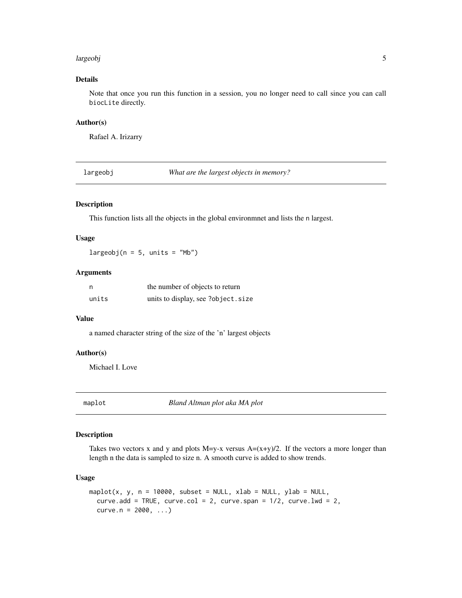#### <span id="page-4-0"></span>largeobj 500 million and 200 million and 200 million and 200 million and 200 million and 200 million and 300 million and 300 million and 300 million and 300 million and 300 million and 300 million and 300 million and 300 m

#### Details

Note that once you run this function in a session, you no longer need to call since you can call biocLite directly.

#### Author(s)

Rafael A. Irizarry

largeobj *What are the largest objects in memory?*

# Description

This function lists all the objects in the global environmnet and lists the n largest.

#### Usage

 $largeobj(n = 5, units = "Mb")$ 

#### Arguments

| n     | the number of objects to return    |
|-------|------------------------------------|
| units | units to display, see ?object.size |

#### Value

a named character string of the size of the 'n' largest objects

# Author(s)

Michael I. Love

maplot *Bland Altman plot aka MA plot*

#### Description

Takes two vectors x and y and plots  $M=y-x$  versus  $A=(x+y)/2$ . If the vectors a more longer than length n the data is sampled to size n. A smooth curve is added to show trends.

#### Usage

```
maplot(x, y, n = 10000, subset = NULL, xlab = NULL, ylab = NULL,
 curve.add = TRUE, curve.col = 2, curve.span = 1/2, curve.lwd = 2,
  curve.n = 2000, ...
```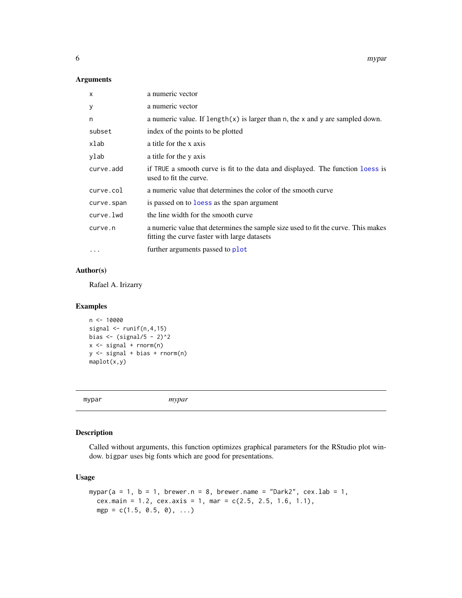<span id="page-5-0"></span>6 myparamateur and a state of the state of the state of the state of the state of the state of the state of the state of the state of the state of the state of the state of the state of the state of the state of the state

#### Arguments

| $\mathsf{x}$ | a numeric vector                                                                                                                  |
|--------------|-----------------------------------------------------------------------------------------------------------------------------------|
| У            | a numeric vector                                                                                                                  |
| n            | a numeric value. If $length(x)$ is larger than n, the x and y are sampled down.                                                   |
| subset       | index of the points to be plotted                                                                                                 |
| xlab         | a title for the x axis                                                                                                            |
| ylab         | a title for the y axis                                                                                                            |
| curve.add    | if TRUE a smooth curve is fit to the data and displayed. The function loess is<br>used to fit the curve.                          |
| curve.col    | a numeric value that determines the color of the smooth curve                                                                     |
| curve.span   | is passed on to loss as the span argument                                                                                         |
| curve.lwd    | the line width for the smooth curve                                                                                               |
| curve.n      | a numeric value that determines the sample size used to fit the curve. This makes<br>fitting the curve faster with large datasets |
|              | further arguments passed to plot                                                                                                  |

# Author(s)

Rafael A. Irizarry

#### Examples

```
n < - 10000signal \le runif(n, 4, 15)
bias \leftarrow (signal/5 - 2)^2
x \le - signal + rnorm(n)
y <- signal + bias + rnorm(n)
maplot(x,y)
```
mypar *mypar*

# Description

Called without arguments, this function optimizes graphical parameters for the RStudio plot window. bigpar uses big fonts which are good for presentations.

# Usage

```
mypar(a = 1, b = 1, brewer.n = 8, brewer.name = "Dark2", cex.lab = 1,
 cex.main = 1.2, cex.axis = 1, mar = c(2.5, 2.5, 1.6, 1.1),
 mgp = c(1.5, 0.5, 0), ...
```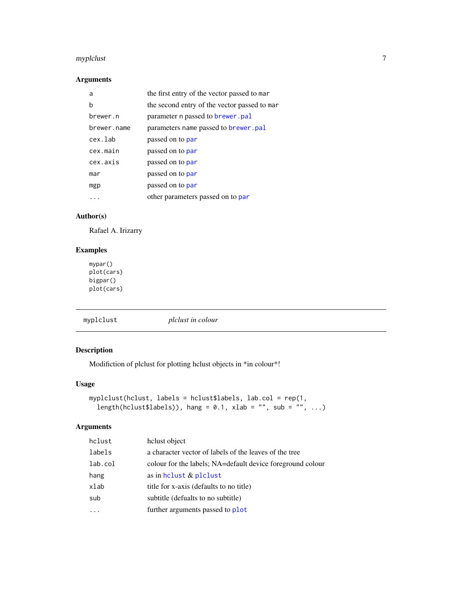#### <span id="page-6-0"></span>myplclust 7 and 2012 12:00 myplclust 7 and 2012 12:00 myplclust 7 and 2012 12:00 myplclust 7 and 201

# Arguments

| a           | the first entry of the vector passed to mar  |
|-------------|----------------------------------------------|
| b           | the second entry of the vector passed to mar |
| brewer.n    | parameter n passed to brewer. pal            |
| brewer.name | parameters name passed to brewer.pal         |
| cex.lab     | passed on to par                             |
| cex.main    | passed on to par                             |
| cex.axis    | passed on to par                             |
| mar         | passed on to par                             |
| mgp         | passed on to par                             |
|             | other parameters passed on to par            |

# Author(s)

Rafael A. Irizarry

# Examples

mypar() plot(cars) bigpar() plot(cars)

myplclust *plclust in colour*

# Description

Modifiction of plclust for plotting hclust objects in \*in colour\*!

# Usage

```
myplclust(hclust, labels = hclust$labels, lab.col = rep(1,
 length(hclust$labels)), hang = 0.1, xlab = "", sub = "", ...)
```

| hclust  | helust object                                              |
|---------|------------------------------------------------------------|
| labels  | a character vector of labels of the leaves of the tree     |
| lab.col | colour for the labels; NA=default device foreground colour |
| hang    | as in helust $&$ plelust                                   |
| xlab    | title for x-axis (defaults to no title)                    |
| sub     | subtitle (defualts to no subtitle)                         |
|         | further arguments passed to plot                           |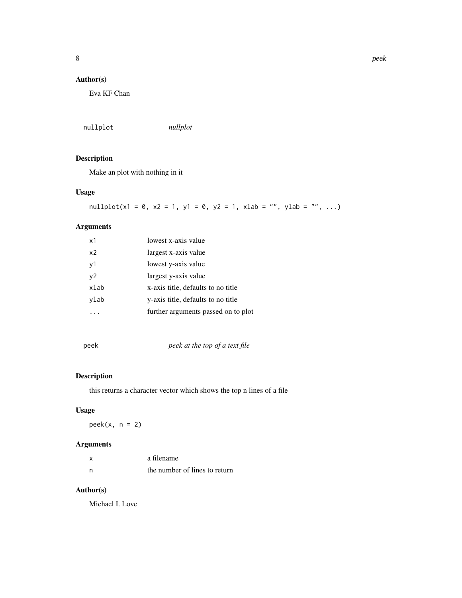# <span id="page-7-0"></span>Author(s)

Eva KF Chan

|  | nullplot | nullplot |  |  |
|--|----------|----------|--|--|
|--|----------|----------|--|--|

# Description

Make an plot with nothing in it

# Usage

nullplot(x1 = 0, x2 = 1, y1 = 0, y2 = 1, xlab = "", ylab = "", ...)

# Arguments

| $\times$ 1     | lowest x-axis value                 |
|----------------|-------------------------------------|
| x <sub>2</sub> | largest x-axis value                |
| v1             | lowest y-axis value                 |
| v <sub>2</sub> | largest y-axis value                |
| xlab           | x-axis title, defaults to no title  |
| ylab           | y-axis title, defaults to no title  |
|                | further arguments passed on to plot |
|                |                                     |

peek *peek at the top of a text file*

# Description

this returns a character vector which shows the top n lines of a file

# Usage

 $peek(x, n = 2)$ 

# Arguments

| x   | a filename                    |
|-----|-------------------------------|
| - n | the number of lines to return |

# Author(s)

Michael I. Love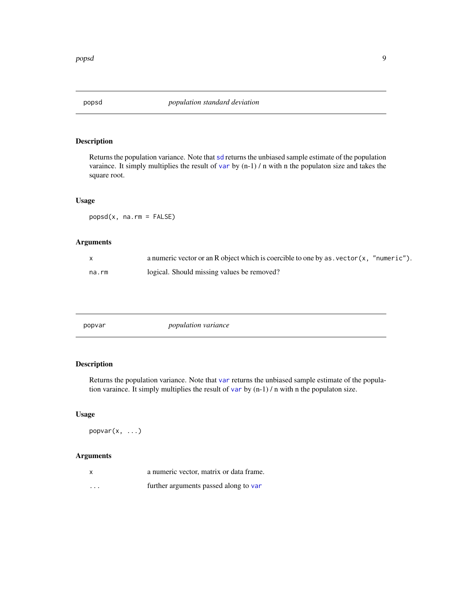<span id="page-8-0"></span>

Returns the population variance. Note that [sd](#page-0-0) returns the unbiased sample estimate of the population varaince. It simply multiplies the result of [var](#page-0-0) by (n-1) / n with n the populaton size and takes the square root.

#### Usage

popsd(x, na.rm = FALSE)

# Arguments

|       | a numeric vector or an R object which is coercible to one by as vector (x, "numeric"). |
|-------|----------------------------------------------------------------------------------------|
| na.rm | logical. Should missing values be removed?                                             |

| <i>population variance</i><br>popvar |
|--------------------------------------|
|--------------------------------------|

# Description

Returns the population variance. Note that [var](#page-0-0) returns the unbiased sample estimate of the population [var](#page-0-0)aince. It simply multiplies the result of var by  $(n-1) / n$  with n the populaton size.

#### Usage

popvar(x, ...)

|          | a numeric vector, matrix or data frame. |
|----------|-----------------------------------------|
| $\cdots$ | further arguments passed along to var   |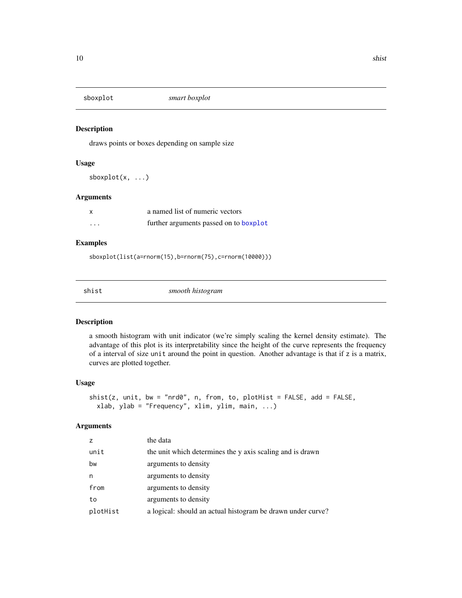<span id="page-9-0"></span>

draws points or boxes depending on sample size

#### Usage

 $sboxplot(x, ...)$ 

#### Arguments

| X        | a named list of numeric vectors        |
|----------|----------------------------------------|
| $\cdots$ | further arguments passed on to boxplot |

#### Examples

sboxplot(list(a=rnorm(15),b=rnorm(75),c=rnorm(10000)))

| snıs |  |
|------|--|
|      |  |

smooth histogram

# Description

a smooth histogram with unit indicator (we're simply scaling the kernel density estimate). The advantage of this plot is its interpretability since the height of the curve represents the frequency of a interval of size unit around the point in question. Another advantage is that if z is a matrix, curves are plotted together.

#### Usage

```
shift(z, unit, bw = "nrd0", n, from, to, plotHist = FALSE, add = FALSE,xlab, ylab = "Frequency", xlim, ylim, main, ...)
```

| Z        | the data                                                    |
|----------|-------------------------------------------------------------|
| unit     | the unit which determines the y axis scaling and is drawn   |
| bw       | arguments to density                                        |
| n        | arguments to density                                        |
| from     | arguments to density                                        |
| to       | arguments to density                                        |
| plotHist | a logical: should an actual histogram be drawn under curve? |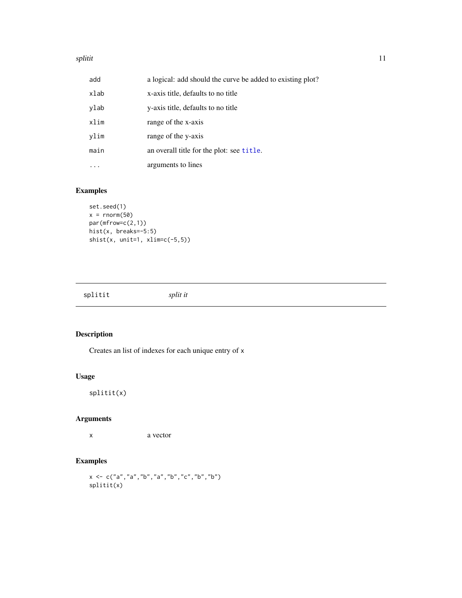#### <span id="page-10-0"></span>splitit that the set of the set of the set of the set of the set of the set of the set of the set of the set of the set of the set of the set of the set of the set of the set of the set of the set of the set of the set of

| add  | a logical: add should the curve be added to existing plot? |
|------|------------------------------------------------------------|
| xlab | x-axis title, defaults to no title                         |
| ylab | y-axis title, defaults to no title                         |
| xlim | range of the x-axis                                        |
| ylim | range of the y-axis                                        |
| main | an overall title for the plot: see title.                  |
|      | arguments to lines                                         |

# Examples

```
set.seed(1)
x = \text{rnorm}(50)par(mfrow=c(2,1))
hist(x, breaks=-5:5)
shist(x, unit=1, xlim=c(-5,5))
```
splitit *split it*

# Description

Creates an list of indexes for each unique entry of x

#### Usage

splitit(x)

# Arguments

x a vector

# Examples

```
x <- c("a","a","b","a","b","c","b","b")
splitit(x)
```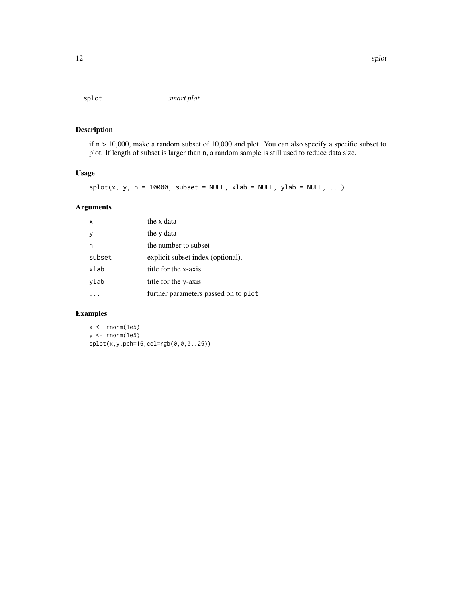<span id="page-11-0"></span>if n > 10,000, make a random subset of 10,000 and plot. You can also specify a specific subset to plot. If length of subset is larger than n, a random sample is still used to reduce data size.

#### Usage

```
splot(x, y, n = 10000, subset = NULL, xlab = NULL, ylab = NULL, ...)
```
# Arguments

| $\mathsf{x}$ | the x data                           |
|--------------|--------------------------------------|
|              | the y data                           |
| n            | the number to subset                 |
| subset       | explicit subset index (optional).    |
| xlab         | title for the x-axis                 |
| ylab         | title for the y-axis                 |
|              | further parameters passed on to plot |

# Examples

 $x < -$  rnorm(1e5) y <- rnorm(1e5) splot(x,y,pch=16,col=rgb(0,0,0,.25))